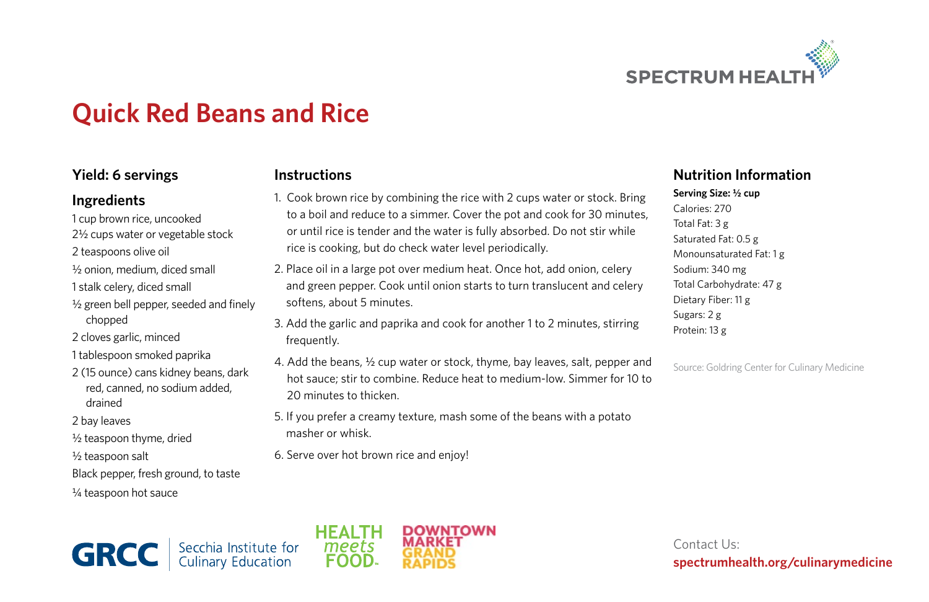

# **Quick Red Beans and Rice**

### **Yield: 6 servings**

#### **Ingredients**

- 1 cup brown rice, uncooked
- 2½ cups water or vegetable stock
- 2 teaspoons olive oil
- ½ onion, medium, diced small
- 1 stalk celery, diced small
- ½ green bell pepper, seeded and finely chopped
- 2 cloves garlic, minced
- 1 tablespoon smoked paprika
- 2 (15 ounce) cans kidney beans, dark red, canned, no sodium added, drained
- 2 bay leaves
- ½ teaspoon thyme, dried
- ½ teaspoon salt
- Black pepper, fresh ground, to taste
- ¼ teaspoon hot sauce

#### **Instructions**

- 1. Cook brown rice by combining the rice with 2 cups water or stock. Bring to a boil and reduce to a simmer. Cover the pot and cook for 30 minutes, or until rice is tender and the water is fully absorbed. Do not stir while rice is cooking, but do check water level periodically.
- 2. Place oil in a large pot over medium heat. Once hot, add onion, celery and green pepper. Cook until onion starts to turn translucent and celery softens, about 5 minutes.
- 3. Add the garlic and paprika and cook for another 1 to 2 minutes, stirring frequently.
- 4. Add the beans, ½ cup water or stock, thyme, bay leaves, salt, pepper and hot sauce; stir to combine. Reduce heat to medium-low. Simmer for 10 to 20 minutes to thicken.
- 5. If you prefer a creamy texture, mash some of the beans with a potato masher or whisk.
- 6. Serve over hot brown rice and enjoy!

## **Nutrition Information**

**Serving Size: ½ cup** Calories: 270 Total Fat: 3 g Saturated Fat: 0.5 g Monounsaturated Fat: 1 g Sodium: 340 mg Total Carbohydrate: 47 g Dietary Fiber: 11 g Sugars: 2 g Protein: 13 g

Source: Goldring Center for Culinary Medicine





Contact Us: **spectrumhealth.org/culinarymedicine**